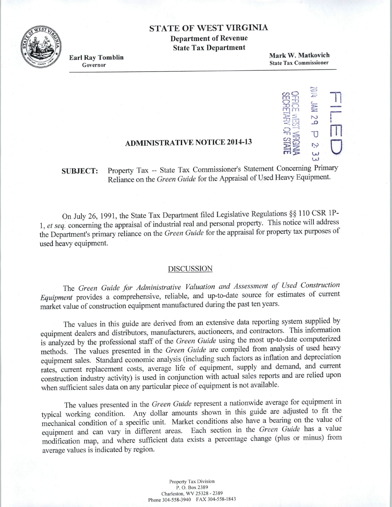### STATE OF WEST VIRGINIA

Department of Revenue State Tax Department



Earl Ray Tomblin Governor

Mark W. Matkovich State Tax Commissioner

#### *cnO* <sup>=</sup> rn -r1 *.c-*0 - FEB<br>11 - FEB |<br>OE NR<br>SEL<br>SEL<br>SEL<br>SEL<br>SEL<br>SE 경<br>2월 - 1 -n~ -: 1J m **O** sime w

......,

# ADMINISTRATIVE NOTICE 2014-13

SUBJECT: Property Tax -- State Tax Commissioner's Statement Concerning Primary Reliance on the *Green Guide* for the Appraisal of Used Heavy Equipment.

On July 26, 1991, the State Tax Department filed Legislative Regulations§§ 110 CSR lP-1, *et seq.·* concerning the appraisal of industrial real and personal property. This notice will address the Department's primary reliance on the *Green Guide* for the appraisal for property tax purposes of used heavy equipment.

### DISCUSSION

The *Green Guide for Administrative Valuation and Assessment of Used Construction Equipment* provides a comprehensive, reliable, and up-to-date source for estimates of current market value of construction equipment manufactured during the past ten years.

The values in this guide are derived from an extensive data reporting system supplied by equipment dealers and distributors, manufacturers, auctioneers, and contractors. This information is analyzed by the professional staff of the *Green Guide* using the most up-to-date computerized methods. The values presented in the *Green Guide* are compiled from analysis of used heavy equipment sales. Standard economic analysis (including such factors as inflation and depreciation rates, current replacement costs, average life of equipment, supply and demand, and current construction industry activity) is used in conjunction with actual sales reports and are relied upon when sufficient sales data on any particular piece of equipment is not available.

The values presented in the *Green Guide* represent a nationwide average for equipment in typical working condition. Any dollar amounts shown in this guide are adjusted to fit the mechanical condition of a specific unit. Market conditions also have a bearing on the value of equipment and can vary in different areas. Each section in the *Green Guide* has a value modification map, and where sufficient data exists a percentage change (plus or minus) from average values is indicated by region.